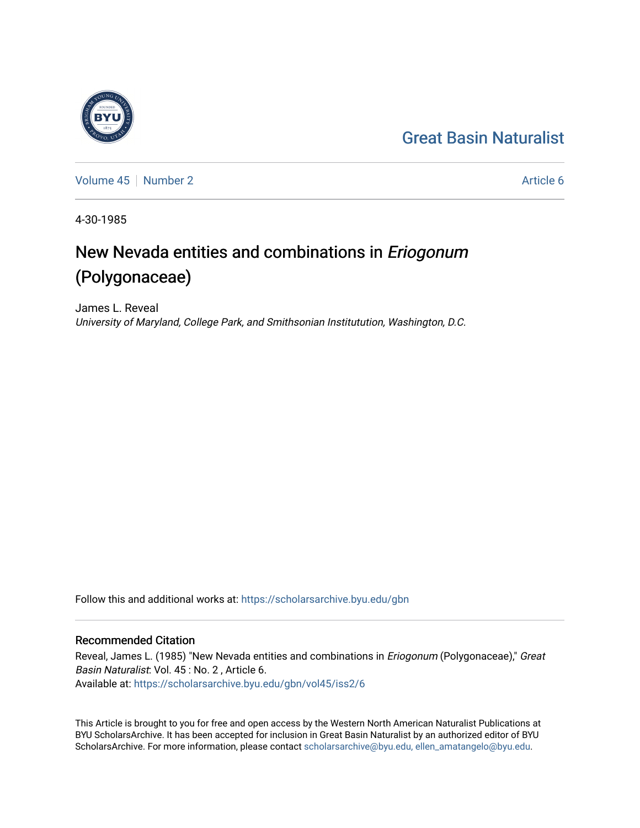## [Great Basin Naturalist](https://scholarsarchive.byu.edu/gbn)



[Volume 45](https://scholarsarchive.byu.edu/gbn/vol45) [Number 2](https://scholarsarchive.byu.edu/gbn/vol45/iss2) Article 6

4-30-1985

# New Nevada entities and combinations in Eriogonum (Polygonaceae)

James L. Reveal University of Maryland, College Park, and Smithsonian Institutution, Washington, D.C.

Follow this and additional works at: [https://scholarsarchive.byu.edu/gbn](https://scholarsarchive.byu.edu/gbn?utm_source=scholarsarchive.byu.edu%2Fgbn%2Fvol45%2Fiss2%2F6&utm_medium=PDF&utm_campaign=PDFCoverPages) 

### Recommended Citation

Reveal, James L. (1985) "New Nevada entities and combinations in *Eriogonum* (Polygonaceae)," Great Basin Naturalist: Vol. 45 : No. 2 , Article 6. Available at: [https://scholarsarchive.byu.edu/gbn/vol45/iss2/6](https://scholarsarchive.byu.edu/gbn/vol45/iss2/6?utm_source=scholarsarchive.byu.edu%2Fgbn%2Fvol45%2Fiss2%2F6&utm_medium=PDF&utm_campaign=PDFCoverPages)

This Article is brought to you for free and open access by the Western North American Naturalist Publications at BYU ScholarsArchive. It has been accepted for inclusion in Great Basin Naturalist by an authorized editor of BYU ScholarsArchive. For more information, please contact [scholarsarchive@byu.edu, ellen\\_amatangelo@byu.edu.](mailto:scholarsarchive@byu.edu,%20ellen_amatangelo@byu.edu)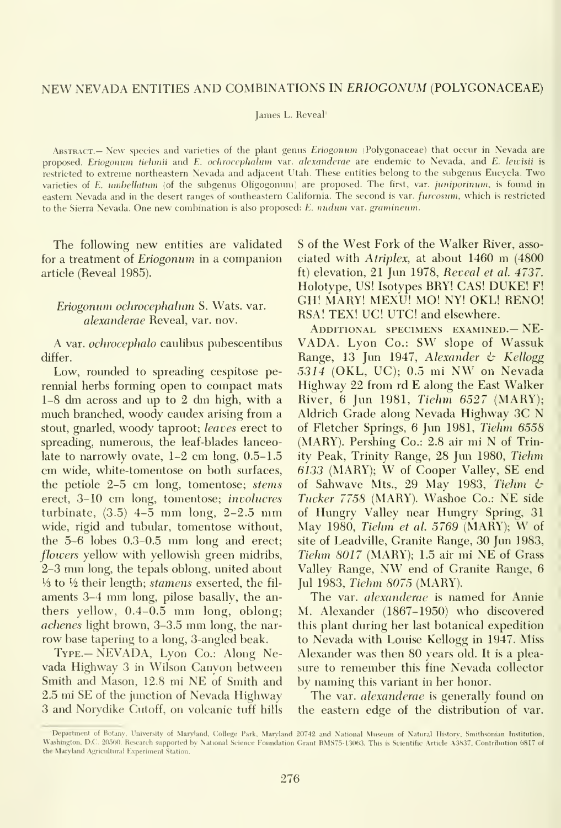James L. Reveal'

ABSTRACT.- New species and varieties of the plant genus Eriogonum (Polygonaceae) that occur in Nevada are proposed. Eriogonum tiehmii and E. ochrocephahnn var. alcxanderae are endemic to Nevada, and E. leuisii is restricted to extreme northeastern Nevada and adjacent Utah. These entities belong to the subgenus Eucycla. Two varieties of E. umhellatum (of the subgenus Oligogonum) are proposed. The first, var. juniporinum, is found in eastern Nevada and in the desert ranges of southeastern California. The second is var. furcosum, which is restricted to the Sierra Nevada. One new combination is also proposed: E. nudum var. gramincum.

The following new entities are validated for a treatment of Eriogonum in a companion article (Reveal 1985).

#### Eriogonum ochrocephalum S. Wats. var. alexanderae Reveal, var. nov.

A var. ochrocephalo caulibus pubescentibus differ.

Low, rounded to spreading cespitose perennial herbs forming open to compact mats 1-8 dm across and up to <sup>2</sup> dm high, with <sup>a</sup> much branched, woody caudex arising from a stout, gnarled, woody taproot; leaves erect to spreading, numerous, the leaf-blades lanceolate to narrowly ovate, 1-2 cm long, 0.5-1.5 cm wide, white-tomentose on both surfaces, the petiole 2-5 cm long, tomentose; stems erect, 3-10 cm long, tomentose; involucres turbinate,  $(3.5)$  4-5 mm long, 2-2.5 mm wide, rigid and tubular, tomentose without, the 5-6 lobes 0.3-0.5 mm long and erect; flowers yellow with yellowish green midribs, 2-3 mm long, the tepals oblong, united about '/3 to V2 their length; stamens exserted, the fil aments 3-4 mm long, pilose basally, the anthers yellow, 0.4-0.5 mm long, oblong; achenes light brown, 3-3.5 mm long, the nar row base tapering to a long, 3-angled beak.

Type.— NEVADA, Lyon Co.: Along Nevada Highway 3 in Wilson Canyon between Smith and Mason, 12.8 mi NE of Smith and 2.5 mi SE of the junction of Nevada Highway 3 and Norydike Cutoff, on volcanic tuff hills S of the West Fork of the Walker River, asso ciated with Atriplex, at about <sup>1460</sup> m (4800 ft) elevation, 21 Jun 1978, Reveal et al. 4737. Holotype, US! Isotypes BRY! CAS! DUKE! F! GH! MARY! MEXU! MO! NY! OKL! RENO! RSA! TEX! UC! UTC! and elsewhere.

Additional specimens examined.— NE- VADA. Lyon Co.: SW slope of Wassuk Range, 13 Jun 1947, Alexander  $\psi$  Kellogg <sup>5314</sup> (OKL, UC); 0.5 mi NW on Nevada Highway 22 from rd E along the East Walker River, 6 Jun 1981, Tiehm 6527 (MARY); Aldrich Grade along Nevada Highway 3C N of Fletcher Springs, 6 Jun 1981, Tiehm 6558 (MARY). Pershing Co.: 2.8 air mi N of Trinity Peak, Trinity Range, 28 Jun 1980, Tiehm <sup>6133</sup> (MARY); W of Cooper Valley, SE end of Sahwave Mts., 29 May 1983, Tiehm  $\phi$ Tucker 7758 (MARY). Washoe Co.: NE side of Hungry Valley near Hungry Spring, 31 May 1980, Tiehm et al. <sup>5769</sup> (MARY); W of site of Leadville, Granite Range, 30 Jun 1983, Tiehm 8017 (MARY); 1.5 air mi NE of Grass Valley Range, NW end of Granite Range, <sup>6</sup> Jul 1983, Tiehm 8075 (MARY).

The var. alexanderae is named for Annie M. Alexander (1867-1950) who discovered this plant during her last botanical expedition to Nevada with Louise Kellogg in 1947. Miss Alexander was then 80 years old. It is a plea sure to remember this fine Nevada collector by naming this variant in her honor.

The var. alexanderae is generally found on the eastern edge of the distribution of var.

Department of Botany, University of Maryland, College Park, Maryland 20742 and National Museum of Natural History, Washington, D.C. 20560. Research supported by National Science Foundation Grant BMS75-13063. This is Scientific Article A3837, Contribution 6817 of the Maryland Agricultural Experiment Station.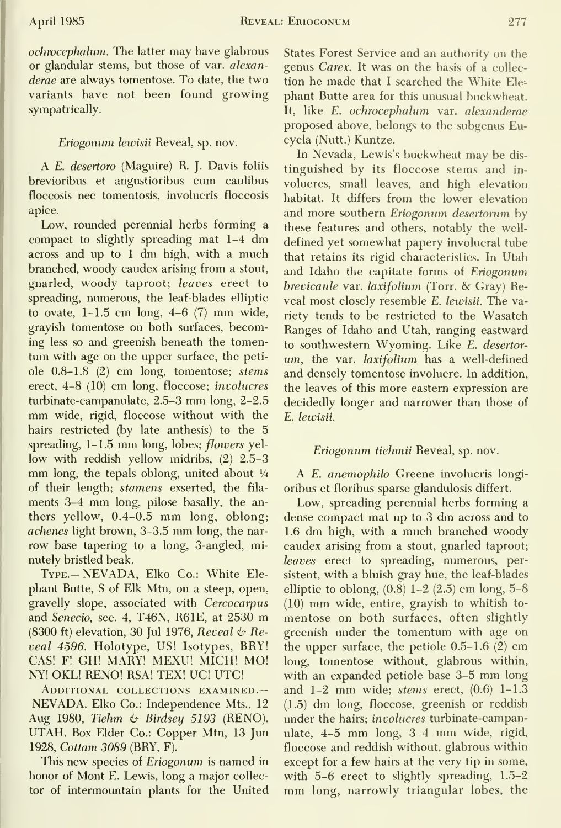ochrocephalum. The latter may have glabrous or glandular stems, but those of var. alexan derae are always tomentose. To date, the two variants have not been found growing sympatrically.

#### Eriogonum lewisii Reveal, sp. nov.

A E. desertoro (Maguire) R. J. Davis foliis brevioribus et angustioribus cum caulibus floccosis nee tomentosis, involucris floccosis apice.

Low, rounded perennial herbs forming a compact to slightly spreading mat 1-4 dm across and up to <sup>1</sup> dm high, with <sup>a</sup> much branched, woody caudex arising from a stout, gnarled, woody taproot; leaves erect to spreading, numerous, the leaf-blades elliptic to ovate, 1-1.5 cm long, 4-6 (7) mm wide, grayish tomentose on both surfaces, becoming less so and greenish beneath the tomen tum with age on the upper surface, the peti ole 0.8-1.8 (2) cm long, tomentose; stems erect, 4-8 (10) cm long, floccose; involucres turbinate-campanulate, 2.5-3 mm long, 2-2.5 mm wide, rigid, floccose without with the hairs restricted (by late anthesis) to the 5 spreading,  $1-1.5$  mm long, lobes; *flowers* yellow with reddish yellow midribs,  $(2)$  2.5-3 mm long, the tepals oblong, united about  $\frac{1}{4}$ of their length; stamens exserted, the fila ments 3-4 mm long, pilose basally, the anthers yellow, 0.4-0.5 mm long, oblong; achenes light brown, 3-3.5 mm long, the nar row base tapering to a long, 3-angled, minutely bristled beak.

TYPE-NEVADA, Elko Co.: White Elephant Butte, S of Elk Mtn, on a steep, open, gravelly slope, associated with Cercocarpus and Senecio, sec. 4, T46N, R61E, at <sup>2530</sup> m (8300 ft) elevation, 30 Jul 1976, Reveal  $\&$  Reveal 4596. Holotype, US! Isotypes, BRY! CAS! F! GH! MARY! MEXU! MICH! MO! NY! OKL! RENO! RSA! TEX! UC! UTC!

Additional collections examined.— NEVADA. Elko Co.: Independence Mts., 12 Aug 1980, Tiehm & Birdsey 5193 (RENO). UTAH. Box Elder Co.: Copper Mtn, 13 Jun 1928, Cottam 3089 (BRY, F).

This new species of Eriogonum is named in honor of Mont E. Lewis, long a major collector of intermountain plants for the United States Forest Service and an authority on the genus Carex. It was on the basis of a collec tion he made that I searched the White  $E$ lephant Butte area for this unusual buckwheat. It, like E. ochrocephalum var. alexanderae proposed above, belongs to the subgenus Eucycla (Nutt.) Kuntze.

In Nevada, Lewis's buckwheat may be dis tinguished by its floccose stems and in volucres, small leaves, and high elevation habitat. It differs from the lower elevation and more southern Eriogonum desertorum by these features and others, notably the well defined yet somewhat papery involucral tube that retains its rigid characteristics. In Utah and Idaho the capitate forms of Eriogonum brevicaule var. laxifolium (Torr. & Gray) Reveal most closely resemble E. lewisii. The variety tends to be restricted to the Wasatch Ranges of Idaho and Utah, ranging eastward to southwestern Wyoming. Like E. desertor um, the var. laxifolium has a well-defined and densely tomentose involucre. In addition, the leaves of this more eastern expression are decidedly longer and narrower than those of E. lewisii.

#### Eriogonum tiehmii Reveal, sp. nov.

A E. anemophilo Greene involucris longi oribus et floribus sparse glandulosis differt.

Low, spreading perennial herbs forming a dense compact mat up to 3 dm across and to 1.6 dm high, with <sup>a</sup> much branched woody caudex arising from a stout, gnarled taproot; leaves erect to spreading, numerous, persistent, with a bluish gray hue, the leaf-blades elliptic to oblong,  $(0.8)$  1-2  $(2.5)$  cm long, 5-8 (10) mm wide, entire, grayish to whitish to mentose on both surfaces, often slightly greenish under the tomentum with age on the upper surface, the petiole  $0.5-1.6$  (2) cm long, tomentose without, glabrous within, with an expanded petiole base 3-5 mm long and  $1-2$  mm wide; stems erect,  $(0.6)$   $1-1.3$ (1.5) dm long, floccose, greenish or reddish under the hairs; involucres turbinate-campanulate, 4-5 mm long, 3-4 mm wide, rigid, floccose and reddish without, glabrous within except for a few hairs at the very tip in some, with 5-6 erect to slightly spreading, 1.5-2 mm long, narrowly triangular lobes, the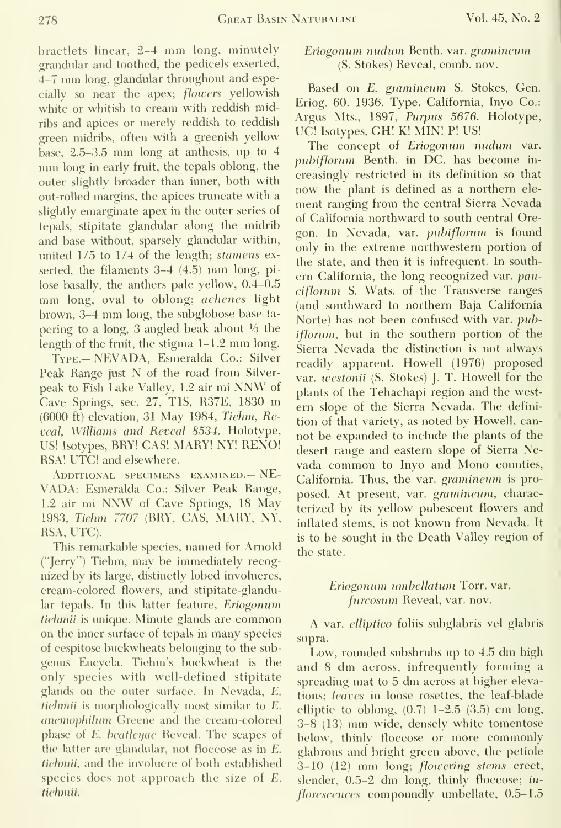bractlets linear, 2-4 mm long, minutely grandular and toothed, the pedicels exserted, 4-7 mm long, glandular throughout and especially so near the apex; flowers yellowish white or whitish to cream with reddish midribs and apices or merely reddish to reddish green midribs, often with a greenish yellow base, 2.5-3.5 mm long at anthesis, up to <sup>4</sup> mm long in early fruit, the tepals oblong, the outer slightly broader than inner, both with out-rolled margins, the apices truncate with a slightly emarginate apex in the outer series of tepals, stipitate glandular along the midrib and base without, sparsely glandular within, united 1/5 to 1/4 of the length; stamens exserted, the filaments 3-4 (4.5) mm long, pi lose basally, the anthers pale yellow, 0.4-0.5 mm long, oval to oblong; *achenes* light brown, 3-4 mm long, the subglobose base ta pering to a long, 3-angled beak about  $\frac{1}{2}$  the length of the fruit, the stigma 1-1.2 mm long.

Type.- NEVADA, Esmeralda Co.: Silver Peak Range just N of the road from Silver peak to Fish Lake Valley, 1.2 air mi NNW of Cave Springs, sec. 27, TIS, R37E, <sup>1830</sup> m (6000 ft) elevation, 31 May 1984, Tiehm, Reveal, Williams and Reveal 8534. Holotype, US! Isotypes, BRY! CAS! MARY! NY! RENO! RSA! UTC! and elsewhere.

ADDITIONAL SPECIMENS EXAMINED. - NE-VADA: Esmeralda Co.: Silver Peak Range, 1.2 air mi NNW of Cave Springs, <sup>18</sup> May 1983, Tiehm 7707 (BRY, CAS, MARY, NY, RSA, UTC).

This remarkable species, named for Arnold ("Jerry") Tiehm, may be immediately recog nized by itslarge, distinctly lobed involucres, cream-colored flowers, and stipitate-glandular tepals. In this latter feature, Eriogonum tiehmii is unique. Minute glands are common on the inner surface of tepals in many species of cespitose buckwheats belonging to the sub genus Eucycla. Tiehm's buckwheat is the only species with well-defined stipitate glands on the outer surface. In Nevada, E. tiehmii is morphologically most similar to E. anemophihim Greene and the cream-colored phase of E. beatleyae Reveal. The scapes of the latter are glandular, not floccose as in E. tiehmii, and the involucre of both established species does not approach the size of E. tiehmii.

#### Eriogonnm nndnm Benth. var. gramineum (S. Stokes) Reveal, comb. nov.

Based on E. gramineum S. Stokes, Gen. Eriog. 60. 1936. Type. California, Inyo Co.: Argus Mts., 1897, Purpus 5676. Holotype, UC! Isotypes, GH! K! MIN! P! US!

The concept of Eriogonum nudum var. pubiflorum Benth. in DC. has become in creasingly restricted in its definition so that now the plant is defined as a northern ele ment ranging from the central Sierra Nevada of California northward to south central Oregon. In Nevada, var. pubiflorum is found only in the extreme northwestern portion of the state, and then it is infrequent. In south ern California, the long recognized var. pauciflorum S. Wats, of the Transverse ranges (and southward to northern Baja California Norte) has not been confused with var. pubiflorum, but in the southern portion of the Sierra Nevada the distinction is not always readily apparent. Howell (1976) proposed var. westonii (S. Stokes) J. T. Howell for the plants of the Tehachapi region and the west ern slope of the Sierra Nevada. The defini tion of that variety, as noted by Howell, can not be expanded to include the plants of the desert range and eastern slope of Sierra Nevada common to Inyo and Mono counties, California. Thus, the var. gramineum is pro posed. At present, var. gramineum, characterized by its yellow pubescent flowers and inflated stems, is not known from Nevada. It is to be sought in the Death Valley region of the state.

#### Eriogonum umbellatum Torr. var. furcosum Reveal, var. nov.

A var. elliptico foliis subglabris vel glabris supra.

Low, rounded subshrubs up to 4.5 dm high and <sup>8</sup> dm across, infrequently forming <sup>a</sup> spreading mat to <sup>5</sup> dm across at higher elevations; leaves in loose rosettes, the leaf-blade elliptic to oblong,  $(0.7)$  1-2.5  $(3.5)$  cm long, 3-8 (13) mm wide, densely white tomentose below, thinly floccose or more commonly glabrous and bright green above, the petiole 3-10 (12) mm long; flowering stems erect, slender, 0.5-2 dm long, thinly floccose; in florescences compoundly umbellate, 0.5-1.5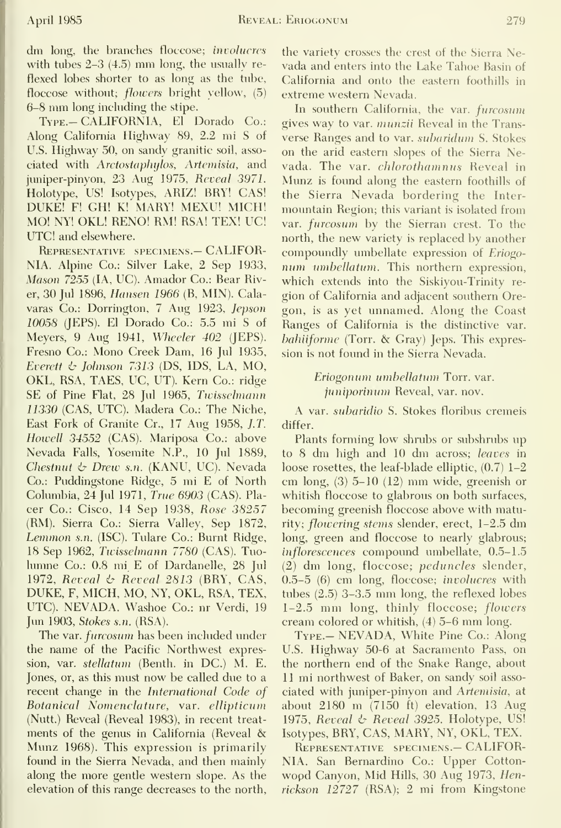dm long, the branches floccose; involucres with tubes 2-3 (4.5) mm long, the usually re flexed lobes shorter to as long as the tube, floccose without; flowers bright yellow, (5) 6-8 mm long including the stipe.

Type.- CALIFORNIA, El Dorado Co.: Along California Highway 89, 2.2 mi S of U.S. Highway 50, on sandy granitic soil, asso ciated with Arctostaphylos, Artemisia, and juniper-pinyon, 23 Aug 1975, Reveal 3971. Holotype, US! Isotypes, ARIZ! BRY! CAS! DUKE! F! GH! K! MARY! MEXU! MICH! MO! NY! OKL! RENO! RM! RSA! TEX! UC! UTC! and elsewhere.

Representative specimens.— CALIFOR-NIA. Alpine Co.: Silver Lake, 2 Sep 1933, Mason 7255 (lA, UC). Amador Co.: Bear River, 30 Jul 1896, Hansen 1966 (B, MIN). Calavaras Co.: Dorrington, 7 Aug 1923, Jepson 10058 (JEPS). El Dorado Co.: 5.5 mi S of Meyers, 9 Aug 1941, Wheeler 402 (JEPS). Fresno Co.: Mono Creek Dam, 16 Jul 1935, Everett  $\&$  Johnson 7313 (DS, IDS, LA, MO, OKL, RSA, TAES, UC, UT). Kern Co.: ridge SE of Pine Flat, 28 Jul 1965, Twissehnann 11330 (CAS, UTC). Madera Co.: The Niche, East Fork of Granite Cr., 17 Aug 1958, J.T. Howell 34552 (CAS). Mariposa Co.: above Nevada Falls, Yosemite N.P., 10 Jul 1889, Chestnut  $\&$  Drew s.n. (KANU, UC). Nevada Co.: Puddingstone Ridge, 5 mi E of North Columbia, 24 Jul 1971, True 6903 (CAS). Pla cer Co.: Cisco, 14 Sep 1938, Rose 38257 (RM). Sierra Co.: Sierra Valley, Sep 1872, Lemmon s.n. (ISC). Tulare Co.: Burnt Ridge, 18 Sep 1962, Twissehnann 7780 (CAS). Tuo lumne Co.: 0.8 mi E of Dardanelle, 28 Jul 1972, Reveal  $\phi$  Reveal 2813 (BRY, CAS, DUKE, F, MICH, MO, NY, OKL, RSA, TEX, UTC). NEVADA. Washoe Co.: nr Verdi, 19 Jun 1903, Stokes s.n. (RSA).

The var. furcosum has been included under the name of the Pacific Northwest expression, var. stellatum (Benth. in DC.) M. E. Jones, or, as this must now be called due to a recent change in the International Code of Rotanical Nomenclature, var. ellipticum (Nutt.) Reveal (Reveal 1983), in recent treat ments of the genus in California (Reveal & Munz 1968). This expression is primarily found in the Sierra Nevada, and then mainly along the more gentle western slope. As the elevation of this range decreases to the north,

the variety crosses the crest of the Sierra Ne vada and enters into the Lake Tahoe Basin of California and onto the eastern foothills in extreme western Nevada.

In southern California, the var. furcosum gives way to var. munzii Reveal in the Transverse Ranges and to var. subaridum S. Stokes on the arid eastern slopes of the Sierra Nevada. The var. chlorothamnus Reveal in Munz is found along the eastern foothills of the Sierra Nevada bordering the Inter mountain Region; this variant is isolated from var. furcosum by the Sierran crest. To the north, the new variety is replaced by another compoundly umbellate expression of Eriogo num umhellatum. This northern expression, which extends into the Siskiyou-Trinity re gion of California and adjacent southern Oregon, is as yet unnamed. Along the Coast Ranges of California is the distinctive var. bahiiforme (Torr. & Gray) Jeps. This expression is not found in the Sierra Nevada.

> Eriogonum umhellatum Torr. var. juniporinum Reveal, var. nov.

A var. subaridio S. Stokes floribus cremeis differ.

Plants forming low shrubs or subshrubs up to <sup>8</sup> dm high and <sup>10</sup> dm across; leaves in loose rosettes, the leaf-blade elliptic, (0.7) 1-2 cm long, (3) 5-10 (12) mm wide, greenish or whitish floccose to glabrous on both surfaces, becoming greenish floccose above with maturity; flowering stems slender, erect, 1-2.5 dm long, green and floccose to nearly glabrous; inflorescences compound umbellate, 0.5-1.5 (2) dm long, floccose; peduncles slender, 0.5-5 (6) cm long, floccose; involucres with tubes (2.5) 3-3.5 mm long, the reflexed lobes 1-2.5 mm long, thinly floccose; flowers cream colored or whitish, (4) 5-6 mm long.

TYPE.- NEVADA, White Pine Co.: Along U.S. Highway 50-6 at Sacramento Pass, on the northern end of the Snake Range, about 11 mi northwest of Baker, on sandy soil asso ciated with juniper-pinyon and Artemisia, at about 2180 m (7150 ft) elevation, <sup>13</sup> Aug 1975, Reveal & Reveal 3925. Holotype, US! Isotypes, BRY, CAS, MARY, NY, OKL, TEX.

Representative specimens.— CALIFOR-NIA. San Bernardino Co.: Upper Cotton wopd Canyon, Mid Hills, 30 Aug 1973, Henrickson 12727 (RSA); 2 mi from Kingstone